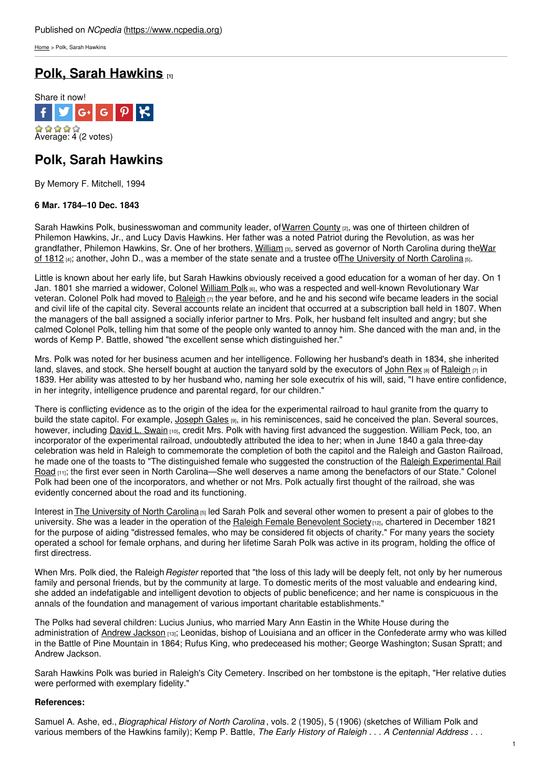[Home](https://www.ncpedia.org/) > Polk, Sarah Hawkins

# **Polk, Sarah [Hawkins](https://www.ncpedia.org/biography/polk-sarah) [1]**



## **Polk, Sarah Hawkins**

By Memory F. Mitchell, 1994

### **6 Mar. 1784–10 Dec. 1843**

Sarah Hawkins Polk, businesswoman and community leader, of [Warren](https://www.ncpedia.org/geography/warren) County [2], was one of thirteen children of Philemon Hawkins, Jr., and Lucy Davis Hawkins. Her father was a noted Patriot during the Revolution, as was her [grandfather,](https://www.ncpedia.org/war-1812) Philemon Hawkins, Sr. One of her [brothers,](http://www.social9.com) [William](https://ncpedia.org/biography/governors/hawkins) [3], served as governor of North Carolina during theWar of 1812 [4]; another, John D., was a member of the state senate and a trustee of The [University](https://www.ncpedia.org/university-north-carolina-chapel-hi) of North Carolina [5].

Little is known about her early life, but Sarah Hawkins obviously received a good education for a woman of her day. On 1 Jan. 1801 she married a widower, Colonel [William](https://www.ncpedia.org/biography/polk-william) Polk [6], who was a respected and well-known Revolutionary War veteran. Colonel Polk had moved to [Raleigh](https://ncpedia.org/geography/raleigh)  $_{[7]}$  the year before, and he and his second wife became leaders in the social and civil life of the capital city. Several accounts relate an incident that occurred at a subscription ball held in 1807. When the managers of the ball assigned a socially inferior partner to Mrs. Polk, her husband felt insulted and angry; but she calmed Colonel Polk, telling him that some of the people only wanted to annoy him. She danced with the man and, in the words of Kemp P. Battle, showed "the excellent sense which distinguished her."

Mrs. Polk was noted for her business acumen and her intelligence. Following her husband's death in 1834, she inherited land, slaves, and stock. She herself bought at auction the tanyard sold by the executors of [John](https://www.ncpedia.org/biography/rex-john) Rex [8] of [Raleigh](https://ncpedia.org/geography/raleigh)  $\overline{r}$  in 1839. Her ability was attested to by her husband who, naming her sole executrix of his will, said, "I have entire confidence, in her integrity, intelligence prudence and parental regard, for our children."

There is conflicting evidence as to the origin of the idea for the experimental railroad to haul granite from the quarry to build the state capitol. For example,  $Joseph$  Gales  $_{[9]}$ , in his reminiscences, said he conceived the plan. Several sources, however, including David L. [Swain](https://www.ncpedia.org/biography/swain-david-lowry) [10], credit Mrs. Polk with having first advanced the suggestion. William Peck, too, an incorporator of the experimental railroad, undoubtedly attributed the idea to her; when in June 1840 a gala three-day celebration was held in Raleigh to commemorate the completion of both the capitol and the Raleigh and Gaston Railroad, he made one of the toasts to "The distinguished female who suggested the construction of the Raleigh Experimental Rail Road [11]; the first ever seen in North [Carolina—She](http://www.historync.org/railroads-experimental.htm) well deserves a name among the benefactors of our State." Colonel Polk had been one of the incorporators, and whether or not Mrs. Polk actually first thought of the railroad, she was evidently concerned about the road and its functioning.

Interest in The [University](https://www.ncpedia.org/university-north-carolina-chapel-hi) of North Carolina [5] led Sarah Polk and several other women to present a pair of globes to the university. She was a leader in the operation of the Raleigh Female [Benevolent](https://docsouth.unc.edu/nc/benevolent/menu.html) Society [12], chartered in December 1821 for the purpose of aiding "distressed females, who may be considered fit objects of charity." For many years the society operated a school for female orphans, and during her lifetime Sarah Polk was active in its program, holding the office of first directress.

When Mrs. Polk died, the Raleigh*Register* reported that "the loss of this lady will be deeply felt, not only by her numerous family and personal friends, but by the community at large. To domestic merits of the most valuable and endearing kind, she added an indefatigable and intelligent devotion to objects of public beneficence; and her name is conspicuous in the annals of the foundation and management of various important charitable establishments."

The Polks had several children: Lucius Junius, who married Mary Ann Eastin in the White House during the administration of Andrew [Jackson](https://www.whitehouse.gov/about/presidents/andrewjackson) [13]; Leonidas, bishop of Louisiana and an officer in the Confederate army who was killed in the Battle of Pine Mountain in 1864; Rufus King, who predeceased his mother; George Washington; Susan Spratt; and Andrew Jackson.

Sarah Hawkins Polk was buried in Raleigh's City Cemetery. Inscribed on her tombstone is the epitaph, "Her relative duties were performed with exemplary fidelity."

### **References:**

Samuel A. Ashe, ed., *Biographical History of North Carolina* , vols. 2 (1905), 5 (1906) (sketches of William Polk and various members of the Hawkins family); Kemp P. Battle, *The Early History of Raleigh . . . A Centennial Address . . .*